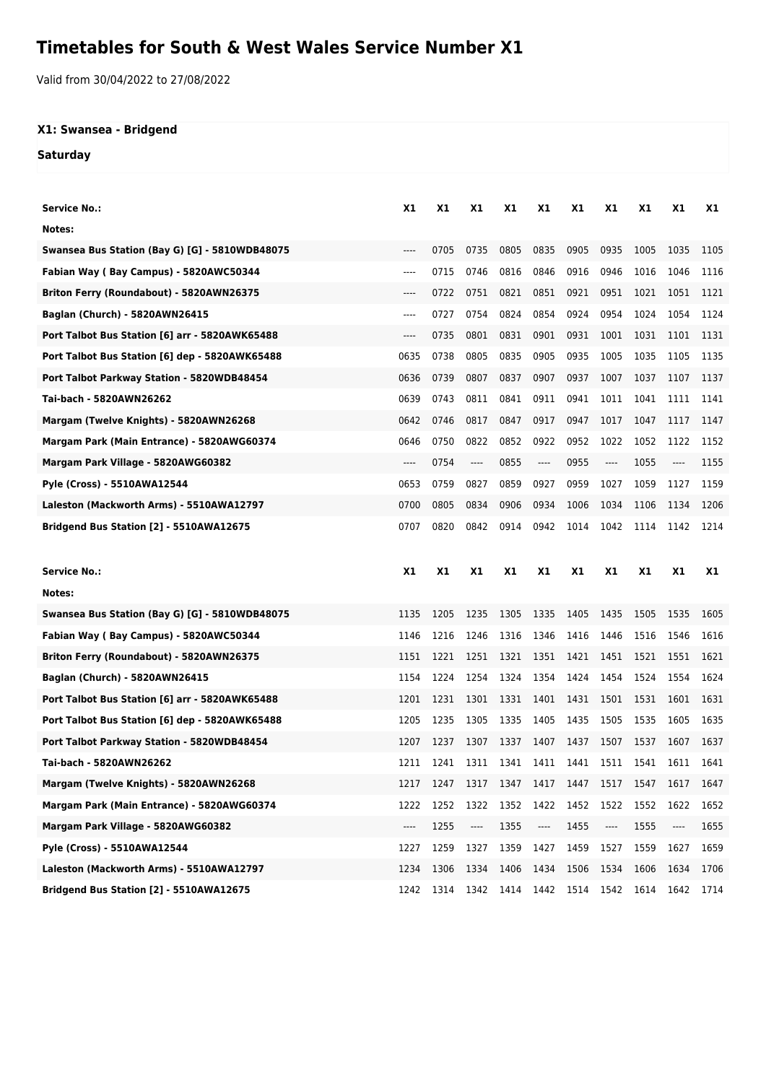## **Timetables for South & West Wales Service Number X1**

Valid from 30/04/2022 to 27/08/2022

## **X1: Swansea - Bridgend**

**Saturday**

| <b>Service No.:</b>                            | X1      | X1   | <b>X1</b> | X1   | X1       | X1   | X1   | X1   | <b>X1</b> | X1   |
|------------------------------------------------|---------|------|-----------|------|----------|------|------|------|-----------|------|
| Notes:                                         |         |      |           |      |          |      |      |      |           |      |
| Swansea Bus Station (Bay G) [G] - 5810WDB48075 | $---$   | 0705 | 0735      | 0805 | 0835     | 0905 | 0935 | 1005 | 1035      | 1105 |
| Fabian Way (Bay Campus) - 5820AWC50344         | $-----$ | 0715 | 0746      | 0816 | 0846     | 0916 | 0946 | 1016 | 1046      | 1116 |
| Briton Ferry (Roundabout) - 5820AWN26375       | ----    | 0722 | 0751      | 0821 | 0851     | 0921 | 0951 | 1021 | 1051      | 1121 |
| Baglan (Church) - 5820AWN26415                 | ----    | 0727 | 0754      | 0824 | 0854     | 0924 | 0954 | 1024 | 1054      | 1124 |
| Port Talbot Bus Station [6] arr - 5820AWK65488 | ----    | 0735 | 0801      | 0831 | 0901     | 0931 | 1001 | 1031 | 1101      | 1131 |
| Port Talbot Bus Station [6] dep - 5820AWK65488 | 0635    | 0738 | 0805      | 0835 | 0905     | 0935 | 1005 | 1035 | 1105      | 1135 |
| Port Talbot Parkway Station - 5820WDB48454     | 0636    | 0739 | 0807      | 0837 | 0907     | 0937 | 1007 | 1037 | 1107      | 1137 |
| Tai-bach - 5820AWN26262                        | 0639    | 0743 | 0811      | 0841 | 0911     | 0941 | 1011 | 1041 | 1111      | 1141 |
| Margam (Twelve Knights) - 5820AWN26268         | 0642    | 0746 | 0817      | 0847 | 0917     | 0947 | 1017 | 1047 | 1117      | 1147 |
| Margam Park (Main Entrance) - 5820AWG60374     | 0646    | 0750 | 0822      | 0852 | 0922     | 0952 | 1022 | 1052 | 1122      | 1152 |
| Margam Park Village - 5820AWG60382             | ----    | 0754 | ----      | 0855 | $\cdots$ | 0955 | ---- | 1055 | ----      | 1155 |
| Pyle (Cross) - 5510AWA12544                    | 0653    | 0759 | 0827      | 0859 | 0927     | 0959 | 1027 | 1059 | 1127      | 1159 |
| Laleston (Mackworth Arms) - 5510AWA12797       | 0700    | 0805 | 0834      | 0906 | 0934     | 1006 | 1034 | 1106 | 1134      | 1206 |
| Bridgend Bus Station [2] - 5510AWA12675        | 0707    | 0820 | 0842      | 0914 | 0942     | 1014 | 1042 | 1114 | 1142      | 1214 |
|                                                |         |      |           |      |          |      |      |      |           |      |
|                                                |         |      |           |      |          |      |      |      |           |      |
| Service No.:                                   | X1      | X1   | X1        | X1   | X1       | X1   | X1   | X1   | <b>X1</b> | X1   |
| Notes:                                         |         |      |           |      |          |      |      |      |           |      |
| Swansea Bus Station (Bay G) [G] - 5810WDB48075 | 1135    | 1205 | 1235      | 1305 | 1335     | 1405 | 1435 | 1505 | 1535      | 1605 |
| Fabian Way (Bay Campus) - 5820AWC50344         | 1146    | 1216 | 1246      | 1316 | 1346     | 1416 | 1446 | 1516 | 1546      | 1616 |
| Briton Ferry (Roundabout) - 5820AWN26375       | 1151    | 1221 | 1251      | 1321 | 1351     | 1421 | 1451 | 1521 | 1551      | 1621 |
| Baglan (Church) - 5820AWN26415                 | 1154    | 1224 | 1254      | 1324 | 1354     | 1424 | 1454 | 1524 | 1554      | 1624 |
| Port Talbot Bus Station [6] arr - 5820AWK65488 | 1201    | 1231 | 1301      | 1331 | 1401     | 1431 | 1501 | 1531 | 1601      | 1631 |
| Port Talbot Bus Station [6] dep - 5820AWK65488 | 1205    | 1235 | 1305      | 1335 | 1405     | 1435 | 1505 | 1535 | 1605      | 1635 |
| Port Talbot Parkway Station - 5820WDB48454     | 1207    | 1237 | 1307      | 1337 | 1407     | 1437 | 1507 | 1537 | 1607      | 1637 |
| Tai-bach - 5820AWN26262                        | 1211    | 1241 | 1311      | 1341 | 1411     | 1441 | 1511 | 1541 | 1611      | 1641 |
| Margam (Twelve Knights) - 5820AWN26268         | 1217    | 1247 | 1317      | 1347 | 1417     | 1447 | 1517 | 1547 | 1617      | 1647 |
| Margam Park (Main Entrance) - 5820AWG60374     | 1222    | 1252 | 1322      | 1352 | 1422     | 1452 | 1522 | 1552 | 1622      | 1652 |
| Margam Park Village - 5820AWG60382             | ----    | 1255 | ----      | 1355 | ----     | 1455 | ---- | 1555 | ----      | 1655 |
| <b>Pyle (Cross) - 5510AWA12544</b>             | 1227    | 1259 | 1327      | 1359 | 1427     | 1459 | 1527 | 1559 | 1627      | 1659 |
| Laleston (Mackworth Arms) - 5510AWA12797       | 1234    | 1306 | 1334      | 1406 | 1434     | 1506 | 1534 | 1606 | 1634      | 1706 |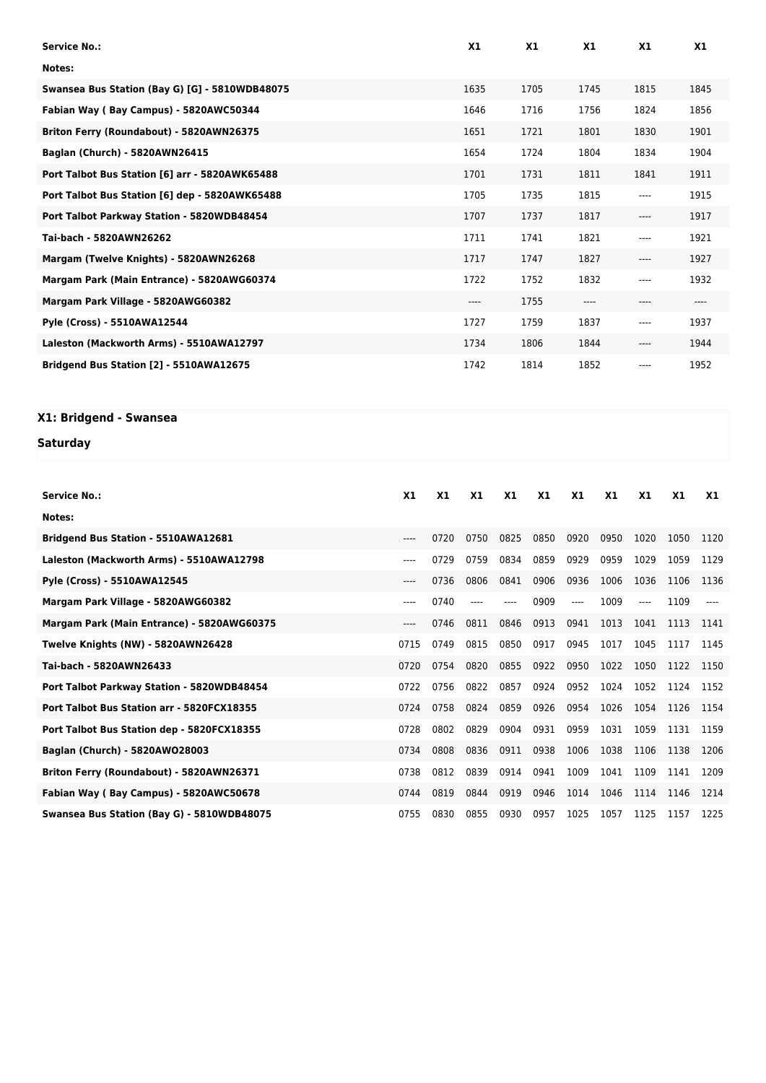| <b>Service No.:</b>                            | X1   | X1   | X1      | X <sub>1</sub> | X1   |
|------------------------------------------------|------|------|---------|----------------|------|
| Notes:                                         |      |      |         |                |      |
| Swansea Bus Station (Bay G) [G] - 5810WDB48075 | 1635 | 1705 | 1745    | 1815           | 1845 |
| Fabian Way (Bay Campus) - 5820AWC50344         | 1646 | 1716 | 1756    | 1824           | 1856 |
| Briton Ferry (Roundabout) - 5820AWN26375       | 1651 | 1721 | 1801    | 1830           | 1901 |
| Baglan (Church) - 5820AWN26415                 | 1654 | 1724 | 1804    | 1834           | 1904 |
| Port Talbot Bus Station [6] arr - 5820AWK65488 | 1701 | 1731 | 1811    | 1841           | 1911 |
| Port Talbot Bus Station [6] dep - 5820AWK65488 | 1705 | 1735 | 1815    | ----           | 1915 |
| Port Talbot Parkway Station - 5820WDB48454     | 1707 | 1737 | 1817    | ----           | 1917 |
| Tai-bach - 5820AWN26262                        | 1711 | 1741 | 1821    | ----           | 1921 |
| Margam (Twelve Knights) - 5820AWN26268         | 1717 | 1747 | 1827    | ----           | 1927 |
| Margam Park (Main Entrance) - 5820AWG60374     | 1722 | 1752 | 1832    | ----           | 1932 |
| Margam Park Village - 5820AWG60382             | ---- | 1755 | $-----$ | ----           | ---- |
| Pyle (Cross) - 5510AWA12544                    | 1727 | 1759 | 1837    | ----           | 1937 |
| Laleston (Mackworth Arms) - 5510AWA12797       | 1734 | 1806 | 1844    | ----           | 1944 |
| Bridgend Bus Station [2] - 5510AWA12675        | 1742 | 1814 | 1852    | ----           | 1952 |

## **X1: Bridgend - Swansea**

## **Saturday**

| <b>Service No.:</b>                        | X <sub>1</sub> | X1   | X <sub>1</sub> | X1   | X1   | X <sub>1</sub> | X1   | X1    | X1   | X1   |
|--------------------------------------------|----------------|------|----------------|------|------|----------------|------|-------|------|------|
| Notes:                                     |                |      |                |      |      |                |      |       |      |      |
| Bridgend Bus Station - 5510AWA12681        | $---$          | 0720 | 0750           | 0825 | 0850 | 0920           | 0950 | 1020  | 1050 | 1120 |
| Laleston (Mackworth Arms) - 5510AWA12798   | $---$          | 0729 | 0759           | 0834 | 0859 | 0929           | 0959 | 1029  | 1059 | 1129 |
| Pyle (Cross) - 5510AWA12545                | $---$          | 0736 | 0806           | 0841 | 0906 | 0936           | 1006 | 1036  | 1106 | 1136 |
| Margam Park Village - 5820AWG60382         | $---$          | 0740 | $---$          | ---- | 0909 | ----           | 1009 | $---$ | 1109 |      |
| Margam Park (Main Entrance) - 5820AWG60375 | $---$          | 0746 | 0811           | 0846 | 0913 | 0941           | 1013 | 1041  | 1113 | 1141 |
| Twelve Knights (NW) - 5820AWN26428         | 0715           | 0749 | 0815           | 0850 | 0917 | 0945           | 1017 | 1045  | 1117 | 1145 |
| Tai-bach - 5820AWN26433                    | 0720           | 0754 | 0820           | 0855 | 0922 | 0950           | 1022 | 1050  | 1122 | 1150 |
| Port Talbot Parkway Station - 5820WDB48454 | 0722           | 0756 | 0822           | 0857 | 0924 | 0952           | 1024 | 1052  | 1124 | 1152 |
| Port Talbot Bus Station arr - 5820FCX18355 | 0724           | 0758 | 0824           | 0859 | 0926 | 0954           | 1026 | 1054  | 1126 | 1154 |
| Port Talbot Bus Station dep - 5820FCX18355 | 0728           | 0802 | 0829           | 0904 | 0931 | 0959           | 1031 | 1059  | 1131 | 1159 |
| Baglan (Church) - 5820AW028003             | 0734           | 0808 | 0836           | 0911 | 0938 | 1006           | 1038 | 1106  | 1138 | 1206 |
| Briton Ferry (Roundabout) - 5820AWN26371   | 0738           | 0812 | 0839           | 0914 | 0941 | 1009           | 1041 | 1109  | 1141 | 1209 |
| Fabian Way (Bay Campus) - 5820AWC50678     | 0744           | 0819 | 0844           | 0919 | 0946 | 1014           | 1046 | 1114  | 1146 | 1214 |
| Swansea Bus Station (Bay G) - 5810WDB48075 | 0755           | 0830 | 0855           | 0930 | 0957 | 1025           | 1057 | 1125  | 1157 | 1225 |